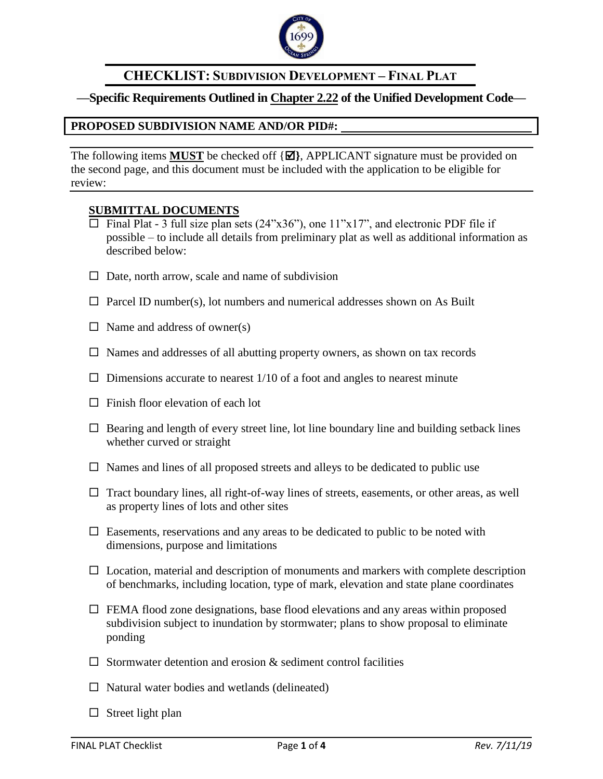

# **CHECKLIST: SUBDIVISION DEVELOPMENT – FINAL PLAT**

## **—Specific Requirements Outlined in Chapter 2.22 of the Unified Development Code—**

### **PROPOSED SUBDIVISION NAME AND/OR PID#:**

The following items **MUST** be checked off  $\{\Xi\}$ , APPLICANT signature must be provided on the second page, and this document must be included with the application to be eligible for review:

### **SUBMITTAL DOCUMENTS**

- $\Box$  Final Plat 3 full size plan sets (24"x36"), one 11"x17", and electronic PDF file if possible – to include all details from preliminary plat as well as additional information as described below:
- $\Box$  Date, north arrow, scale and name of subdivision
- $\Box$  Parcel ID number(s), lot numbers and numerical addresses shown on As Built
- $\Box$  Name and address of owner(s)
- $\Box$  Names and addresses of all abutting property owners, as shown on tax records
- $\Box$  Dimensions accurate to nearest 1/10 of a foot and angles to nearest minute
- $\Box$  Finish floor elevation of each lot
- $\Box$  Bearing and length of every street line, lot line boundary line and building setback lines whether curved or straight
- $\Box$  Names and lines of all proposed streets and alleys to be dedicated to public use
- $\Box$  Tract boundary lines, all right-of-way lines of streets, easements, or other areas, as well as property lines of lots and other sites
- $\Box$  Easements, reservations and any areas to be dedicated to public to be noted with dimensions, purpose and limitations
- $\Box$  Location, material and description of monuments and markers with complete description of benchmarks, including location, type of mark, elevation and state plane coordinates
- $\Box$  FEMA flood zone designations, base flood elevations and any areas within proposed subdivision subject to inundation by stormwater; plans to show proposal to eliminate ponding
- $\Box$  Stormwater detention and erosion  $\&$  sediment control facilities
- $\Box$  Natural water bodies and wetlands (delineated)
- $\Box$  Street light plan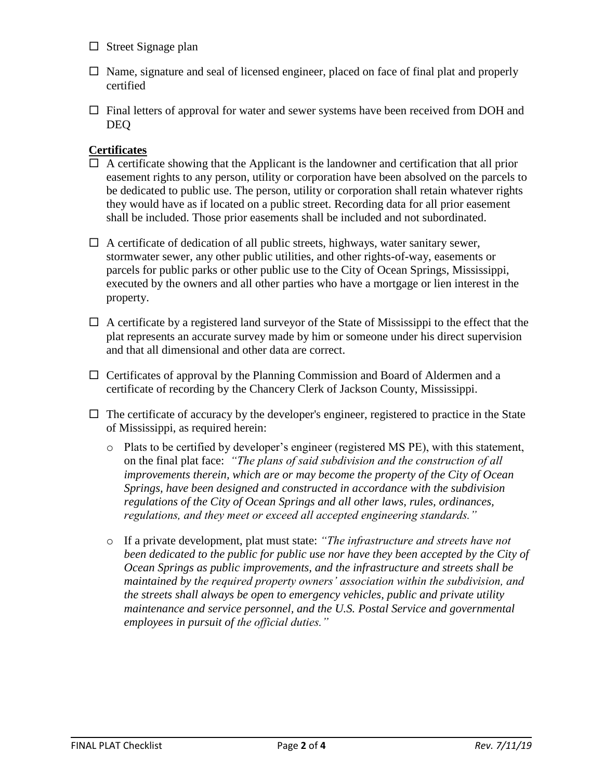- $\square$  Street Signage plan
- $\Box$  Name, signature and seal of licensed engineer, placed on face of final plat and properly certified
- $\Box$  Final letters of approval for water and sewer systems have been received from DOH and DEQ

### **Certificates**

- $\Box$  A certificate showing that the Applicant is the landowner and certification that all prior easement rights to any person, utility or corporation have been absolved on the parcels to be dedicated to public use. The person, utility or corporation shall retain whatever rights they would have as if located on a public street. Recording data for all prior easement shall be included. Those prior easements shall be included and not subordinated.
- $\Box$  A certificate of dedication of all public streets, highways, water sanitary sewer, stormwater sewer, any other public utilities, and other rights-of-way, easements or parcels for public parks or other public use to the City of Ocean Springs, Mississippi, executed by the owners and all other parties who have a mortgage or lien interest in the property.
- $\Box$  A certificate by a registered land surveyor of the State of Mississippi to the effect that the plat represents an accurate survey made by him or someone under his direct supervision and that all dimensional and other data are correct.
- $\Box$  Certificates of approval by the Planning Commission and Board of Aldermen and a certificate of recording by the Chancery Clerk of Jackson County, Mississippi.
- $\Box$  The certificate of accuracy by the developer's engineer, registered to practice in the State of Mississippi, as required herein:
	- $\circ$  Plats to be certified by developer's engineer (registered MS PE), with this statement, on the final plat face: *"The plans of said subdivision and the construction of all improvements therein, which are or may become the property of the City of Ocean Springs, have been designed and constructed in accordance with the subdivision regulations of the City of Ocean Springs and all other laws, rules, ordinances, regulations, and they meet or exceed all accepted engineering standards."*
	- o If a private development, plat must state: *"The infrastructure and streets have not been dedicated to the public for public use nor have they been accepted by the City of Ocean Springs as public improvements, and the infrastructure and streets shall be maintained by the required property owners' association within the subdivision, and the streets shall always be open to emergency vehicles, public and private utility maintenance and service personnel, and the U.S. Postal Service and governmental employees in pursuit of the official duties."*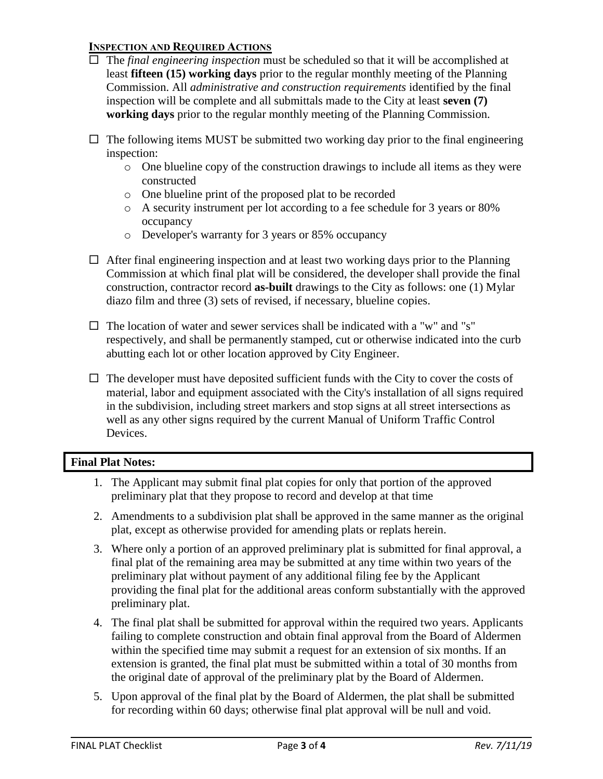#### **INSPECTION AND REQUIRED ACTIONS**

- The *final engineering inspection* must be scheduled so that it will be accomplished at least **fifteen (15) working days** prior to the regular monthly meeting of the Planning Commission. All *administrative and construction requirements* identified by the final inspection will be complete and all submittals made to the City at least **seven (7) working days** prior to the regular monthly meeting of the Planning Commission.
- $\Box$  The following items MUST be submitted two working day prior to the final engineering inspection:
	- o One blueline copy of the construction drawings to include all items as they were constructed
	- o One blueline print of the proposed plat to be recorded
	- o A security instrument per lot according to a fee schedule for 3 years or 80% occupancy
	- o Developer's warranty for 3 years or 85% occupancy
- $\Box$  After final engineering inspection and at least two working days prior to the Planning Commission at which final plat will be considered, the developer shall provide the final construction, contractor record **as-built** drawings to the City as follows: one (1) Mylar diazo film and three (3) sets of revised, if necessary, blueline copies.
- $\Box$  The location of water and sewer services shall be indicated with a "w" and "s" respectively, and shall be permanently stamped, cut or otherwise indicated into the curb abutting each lot or other location approved by City Engineer.
- $\Box$  The developer must have deposited sufficient funds with the City to cover the costs of material, labor and equipment associated with the City's installation of all signs required in the subdivision, including street markers and stop signs at all street intersections as well as any other signs required by the current Manual of Uniform Traffic Control Devices.

### **Final Plat Notes:**

- 1. The Applicant may submit final plat copies for only that portion of the approved preliminary plat that they propose to record and develop at that time
- 2. Amendments to a subdivision plat shall be approved in the same manner as the original plat, except as otherwise provided for amending plats or replats herein.
- 3. Where only a portion of an approved preliminary plat is submitted for final approval, a final plat of the remaining area may be submitted at any time within two years of the preliminary plat without payment of any additional filing fee by the Applicant providing the final plat for the additional areas conform substantially with the approved preliminary plat.
- 4. The final plat shall be submitted for approval within the required two years. Applicants failing to complete construction and obtain final approval from the Board of Aldermen within the specified time may submit a request for an extension of six months. If an extension is granted, the final plat must be submitted within a total of 30 months from the original date of approval of the preliminary plat by the Board of Aldermen.
- 5. Upon approval of the final plat by the Board of Aldermen, the plat shall be submitted for recording within 60 days; otherwise final plat approval will be null and void.